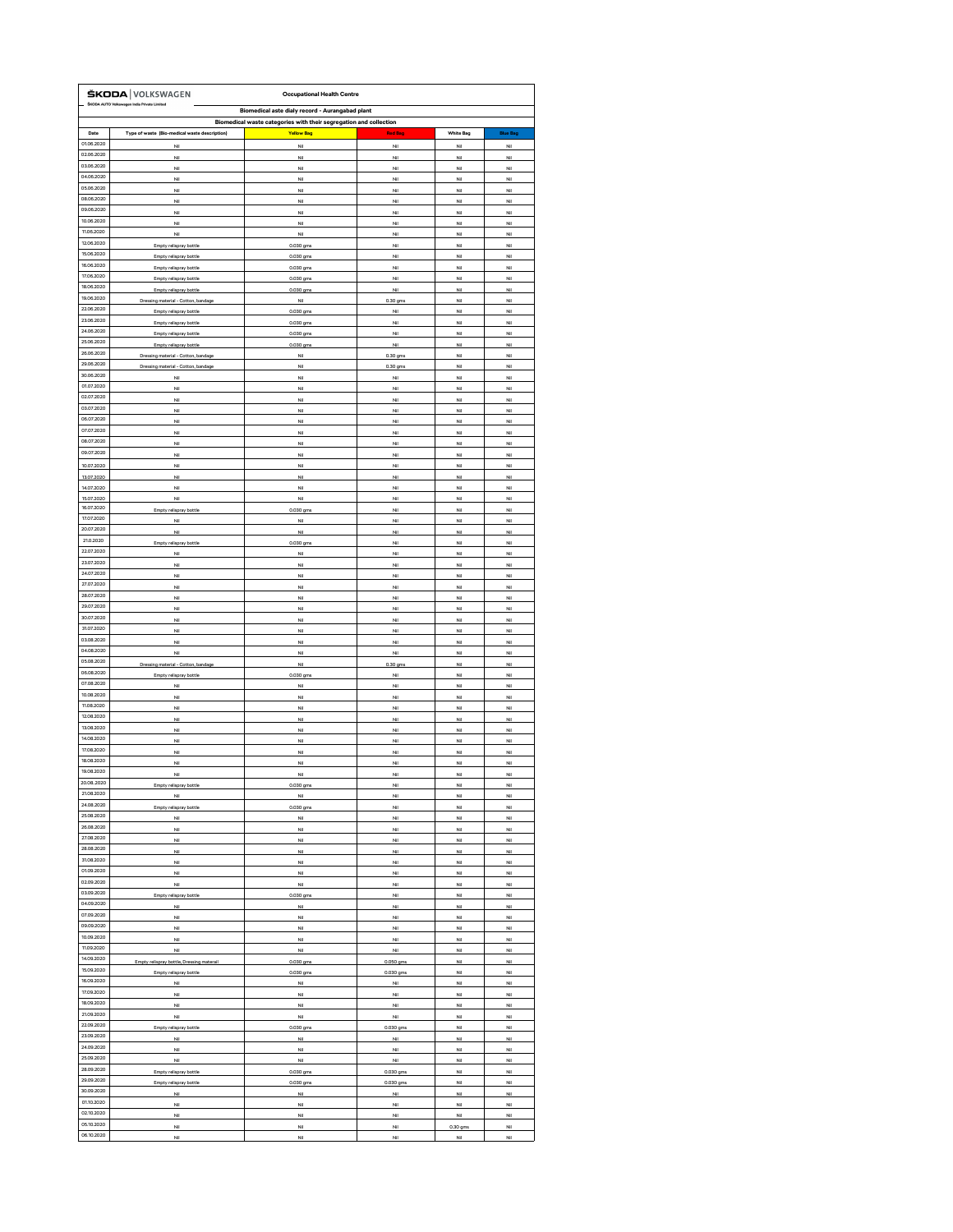|                          | ŠKODA VOLKSWAGEN                                        | <b>Occupational Health Centre</b>                                 |                          |                          |                          |
|--------------------------|---------------------------------------------------------|-------------------------------------------------------------------|--------------------------|--------------------------|--------------------------|
|                          | ŠKODA AUTO Volkswagen India Private Limited             | <b>Biomedical aste dialy record - Aurangabad plant</b>            |                          |                          |                          |
|                          |                                                         | Biomedical waste categories with their segregation and collection |                          |                          |                          |
| <b>Date</b>              | Type of waste (Bio-medical waste description)           | <b>Yellow Bag</b>                                                 | <b>Red Bag</b>           | <b>White Bag</b>         | <b>Blue Bag</b>          |
| 01.06.2020               | Nil                                                     | Nil                                                               | Nil                      | Nil                      | <b>Nil</b>               |
| 02.06.2020<br>03.06.2020 | Nil                                                     | Nil                                                               | Nil                      | Nil                      | <b>Nil</b>               |
| 04.06.2020               | Nil                                                     | Nil                                                               | <b>Nil</b>               | <b>Nil</b>               | <b>Nil</b>               |
| 05.06.2020               | Nil<br>Nil                                              | Nil<br>Nil                                                        | <b>Nil</b><br>Nil        | <b>Nil</b><br><b>Nil</b> | <b>Nil</b><br>Nil        |
| 08.06.2020               | Nil                                                     | Nil                                                               | <b>Nil</b>               | Nil                      | <b>Nil</b>               |
| 09.06.2020               | Nil                                                     | <b>Nil</b>                                                        | Nil                      | Nil                      | <b>Nil</b>               |
| 10.06.2020               | Nil                                                     | <b>Nil</b>                                                        | <b>Nil</b>               | <b>Nil</b>               | <b>Nil</b>               |
| 11.06.2020               | Nil                                                     | Nil                                                               | Nil                      | <b>Nil</b>               | <b>Nil</b>               |
| 12.06.2020               | Empty relispray bottle                                  | 0.030 gms                                                         | <b>Nil</b>               | Nil                      | <b>Nil</b>               |
| 15.06.2020<br>16.06.2020 | <b>Empty relispray bottle</b>                           | 0.030 gms                                                         | Nil                      | Nil                      | Nil                      |
| 17.06.2020               | <b>Empty relispray bottle</b>                           | 0.030 gms                                                         | Nil                      | Nil                      | <b>Nil</b>               |
| 18.06.2020               | <b>Empty relispray bottle</b><br>Empty relispray bottle | 0.030 gms<br>0.030 gms                                            | <b>Nil</b><br><b>Nil</b> | Nil<br>Nil               | <b>Nil</b><br><b>Nil</b> |
| 19.06.2020               | Dressing material - Cotton, bandage                     | Nil                                                               | 0.30 gms                 | Nil                      | Nil                      |
| 22.06.2020               | <b>Empty relispray bottle</b>                           | 0.030 gms                                                         | Nil                      | Nil                      | <b>Nil</b>               |
| 23.06.2020               | <b>Empty relispray bottle</b>                           | 0.030 gms                                                         | Nil                      | Nil                      | Nil                      |
| 24.06.2020               | <b>Empty relispray bottle</b>                           | 0.030 gms                                                         | Nil                      | <b>Nil</b>               | <b>Nil</b>               |
| 25.06.2020               | Empty relispray bottle                                  | 0.030 gms                                                         | <b>Nil</b>               | Nil                      | <b>Nil</b>               |
| 26.06.2020<br>29.06.2020 | Dressing material - Cotton, bandage                     | <b>Nil</b>                                                        | 0.30 gms                 | <b>Nil</b>               | <b>Nil</b>               |
| 30.06.2020               | Dressing material - Cotton, bandage                     | Nil                                                               | 0.30 gms                 | Nil                      | Nil                      |
| 01.07.2020               | Nil<br><b>Nil</b>                                       | <b>Nil</b><br><b>Nil</b>                                          | <b>Nil</b><br>Nil        | <b>Nil</b><br><b>Nil</b> | <b>Nil</b><br><b>Nil</b> |
| 02.07.2020               | Nil                                                     | Nil                                                               | Nil                      | Nil                      | Nil                      |
| 03.07.2020               | Nil                                                     | Nil                                                               | Nil                      | Nil                      | Nil                      |
| 06.07.2020               | Nil                                                     | Nil                                                               | Nil                      | Nil                      | <b>Nil</b>               |
| 07.07.2020               | <b>Nil</b>                                              | <b>Nil</b>                                                        | <b>Nil</b>               | <b>Nil</b>               | <b>Nil</b>               |
| 08.07.2020               | <b>Nil</b>                                              | <b>Nil</b>                                                        | Nil                      | Nil                      | <b>Nil</b>               |
| 09.07.2020               | Nil                                                     | Nil                                                               | Nil                      | Nil                      | Nil                      |
| 10.07.2020               | Nil                                                     | Nil                                                               | Nil                      | Nil                      | Nil                      |
| 13.07.2020<br>14.07.2020 | <b>Nil</b><br><b>Nil</b>                                | <b>Nil</b><br>Nil                                                 | <b>Nil</b><br><b>Nil</b> | Nil<br><b>Nil</b>        | Nil<br><b>Nil</b>        |
| 15.07.2020               | <b>Nil</b>                                              | <b>Nil</b>                                                        | Nil                      | Nil                      | <b>Nil</b>               |
| 16.07.2020               | <b>Empty relispray bottle</b>                           | 0.030 gms                                                         | Nil                      | Nil                      | Nil                      |
| 17.07.2020               | Nil                                                     | Nil                                                               | <b>Nil</b>               | Nil                      | Nil                      |
| 20.07.2020               | Nil                                                     | <b>Nil</b>                                                        | Nil                      | <b>Nil</b>               | Nil                      |
| 21.0.2020                | <b>Empty relispray bottle</b>                           | 0.030 gms                                                         | Nil                      | Nil                      | <b>Nil</b>               |
| 22.07.2020<br>23.07.2020 | <b>Nil</b>                                              | Nil                                                               | Nil                      | Nil                      | <b>Nil</b>               |
| 24.07.2020               | Nil                                                     | Nil                                                               | Nil                      | Nil                      | <b>Nil</b>               |
| 27.07.2020               | Nil<br>Nil                                              | Nil<br>Nil                                                        | Nil<br>Nil               | Nil<br>Nil               | <b>Nil</b><br><b>Nil</b> |
| 28.07.2020               | Nil                                                     | Nil                                                               | Nil                      | Nil                      | <b>Nil</b>               |
| 29.07.2020               | Nil                                                     | Nil                                                               | Nil                      | Nil                      | <b>Nil</b>               |
| 30.07.2020               | Nil                                                     | Nil                                                               | <b>Nil</b>               | Nil                      | <b>Nil</b>               |
| 31.07.2020               | <b>Nil</b>                                              | Nil                                                               | <b>Nil</b>               | Nil                      | <b>Nil</b>               |
| 03.08.2020               | <b>Nil</b>                                              | <b>Nil</b>                                                        | Nil                      | Nil                      | <b>Nil</b>               |
| 04.08.2020<br>05.08.2020 | <b>Nil</b>                                              | <b>Nil</b>                                                        | Nil                      | Nil                      | <b>Nil</b>               |
| 06.08.2020               | Dressing material - Cotton, bandage                     | Nil                                                               | 0.30 gms                 | Nil                      | <b>Nil</b>               |
| 07.08.2020               | <b>Empty relispray bottle</b><br><b>Nil</b>             | 0.030 gms<br><b>Nil</b>                                           | <b>Nil</b><br><b>Nil</b> | Nil<br><b>Nil</b>        | Nil<br><b>Nil</b>        |
| 10.08.2020               | Nil                                                     | Nil                                                               | Nil                      | <b>Nil</b>               | <b>Nil</b>               |
| 11.08.2020               | Nil                                                     | Nil                                                               | <b>Nil</b>               | <b>Nil</b>               | <b>Nil</b>               |
| 12.08.2020               | Nil                                                     | Nil                                                               | Nil                      | Nil                      | Nil                      |
| 13.08.2020               | Nil                                                     | Nil                                                               | Nil                      | Nil                      | <b>Nil</b>               |
| 14.08.2020               | Nil                                                     | <b>Nil</b>                                                        | Nil                      | Nil                      | <b>Nil</b>               |
| 17.08.2020<br>18.08.2020 | Nil                                                     | Nil                                                               | Nil                      | <b>Nil</b>               | <b>Nil</b>               |
| 19.08.2020               | Nil                                                     | Nil                                                               | Nil                      | <b>Nil</b>               | Nil                      |
| 20.082020                | Nil<br><b>Empty relispray bottle</b>                    | Nil<br>0.030 gms                                                  | Nil<br>Nil               | Nil<br>Nil               | Nil<br><b>Nil</b>        |
| 21.08.2020               | Nil                                                     | Nil                                                               | Nil                      | Nil                      | <b>Nil</b>               |
| 24.08.2020               | <b>Empty relispray bottle</b>                           | 0.030 gms                                                         | Nil                      | Nil                      | <b>Nil</b>               |
| 25.08.2020               | <b>Nil</b>                                              | Nil                                                               | Nil                      | Nil                      | <b>Nil</b>               |
| 26.08.2020               | Nil                                                     | Nil                                                               | Nil                      | Nil                      | Nil                      |
| 27.08.2020               | Nil                                                     | Nil                                                               | Nil                      | Nil                      | <b>Nil</b>               |
| 28.08.2020<br>31.08.2020 | Nil                                                     | <b>Nil</b>                                                        | Nil                      | <b>Nil</b>               | <b>Nil</b>               |
| 01.09.2020               | Nil                                                     | Nil                                                               | Nil                      | Nil                      | <b>Nil</b>               |
| 02.09.2020               | Nil<br>Nil                                              | Nil<br>Nil                                                        | <b>Nil</b><br><b>Nil</b> | Nil<br>Nil               | Nil<br>Nil               |
| 03.09.2020               | <b>Empty relispray bottle</b>                           | 0.030 gms                                                         | Nil                      | Nil                      | <b>Nil</b>               |
| 04.09.2020               | <b>Nil</b>                                              | Nil                                                               | Nil                      | Nil                      | <b>Nil</b>               |
| 07.09.2020               | Nil                                                     | Nil                                                               | Nil                      | <b>Nil</b>               | Nil                      |
| 09.09.2020               | Nil                                                     | Nil                                                               | Nil                      | Nil                      | Nil                      |
| 10.09.2020               | Nil                                                     | Nil                                                               | Nil                      | Nil                      | <b>Nil</b>               |
| 11.09.2020<br>14.09.2020 | Nil                                                     | <b>Nil</b>                                                        | Nil                      | Nil                      | <b>Nil</b>               |
| 15.09.2020               | Empty relispray bottle, Dressing materail               | 0.030 gms                                                         | 0.050 gms                | Nil                      | <b>Nil</b>               |
| 16.09.2020               | <b>Empty relispray bottle</b><br>Nil                    | 0.030 gms<br>Nil                                                  | 0.030 gms<br><b>Nil</b>  | Nil<br>Nil               | Nil<br><b>Nil</b>        |
| 17.09.2020               | Nil                                                     | Nil                                                               | Nil                      | Nil                      | Nil                      |
| 18.09.2020               | Nil                                                     | <b>Nil</b>                                                        | <b>Nil</b>               | Nil                      | <b>Nil</b>               |
| 21.09.2020               | Nil                                                     | Nil                                                               | <b>Nil</b>               | Nil                      | <b>Nil</b>               |
| 22.09.2020               | <b>Empty relispray bottle</b>                           | 0.030 gms                                                         | 0.030 gms                | Nil                      | <b>Nil</b>               |
| 23.09.2020               | Nil                                                     | Nil                                                               | <b>Nil</b>               | Nil                      | <b>Nil</b>               |
| 24.09.2020<br>25.09.2020 | Nil                                                     | Nil                                                               | Nil                      | <b>Nil</b>               | <b>Nil</b>               |
| 28.09.2020               | Nil                                                     | <b>Nil</b>                                                        | <b>Nil</b>               | <b>Nil</b>               | <b>Nil</b>               |
| 29.09.2020               | Empty relispray bottle<br>Empty relispray bottle        | 0.030 gms<br>0.030 gms                                            | 0.030 gms<br>0.030 gms   | <b>Nil</b><br><b>Nil</b> | <b>Nil</b><br><b>Nil</b> |
| 30.09.2020               | Nil                                                     | Nil                                                               | Nil                      | Nil                      | <b>Nil</b>               |
| 01.10.2020               | <b>Nil</b>                                              | Nil                                                               | Nil                      | <b>Nil</b>               | <b>Nil</b>               |
| 02.10.2020               | Nil                                                     | <b>Nil</b>                                                        | <b>Nil</b>               | <b>Nil</b>               | <b>Nil</b>               |
| 05.10.2020               | Nil                                                     | Nil                                                               | <b>Nil</b>               | 0.30 gms                 | <b>Nil</b>               |
| 06.10.2020               | Nil                                                     | Nil                                                               | <b>Nil</b>               | Nil                      | <b>Nil</b>               |